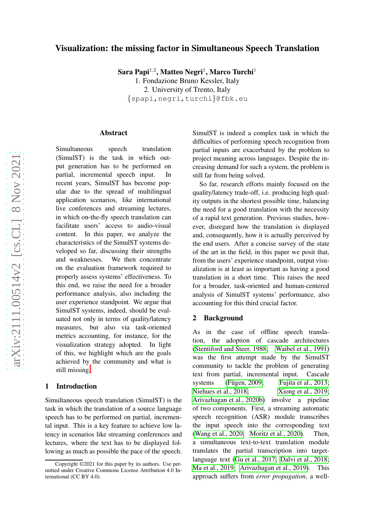## Visualization: the missing factor in Simultaneous Speech Translation

Sara Papi $^{1,2}$ , Matteo Negri $^{1}$ , Marco Turchi $^{1}$ 

1. Fondazione Bruno Kessler, Italy 2. University of Trento, Italy {spapi,negri,turchi }@fbk.eu

#### Abstract

Simultaneous speech translation (SimulST) is the task in which output generation has to be performed on partial, incremental speech input. In recent years, SimulST has become popular due to the spread of multilingual application scenarios, like international live conferences and streaming lectures, in which on-the-fly speech translation can facilitate users' access to audio-visual content. In this paper, we analyze the characteristics of the SimulST systems developed so far, discussing their strengths and weaknesses. We then concentrate on the evaluation framework required to properly assess systems' effectiveness. To this end, we raise the need for a broader performance analysis, also including the user experience standpoint. We argue that SimulST systems, indeed, should be evaluated not only in terms of quality/latency measures, but also via task-oriented metrics accounting, for instance, for the visualization strategy adopted. In light of this, we highlight which are the goals achieved by the community and what is still missing[.](#page-0-0)

### 1 Introduction

Simultaneous speech translation (SimulST) is the task in which the translation of a source language speech has to be performed on partial, incremental input. This is a key feature to achieve low latency in scenarios like streaming conferences and lectures, where the text has to be displayed following as much as possible the pace of the speech. SimulST is indeed a complex task in which the difficulties of performing speech recognition from partial inputs are exacerbated by the problem to project meaning across languages. Despite the increasing demand for such a system, the problem is still far from being solved.

So far, research efforts mainly focused on the quality/latency trade-off, i.e. producing high quality outputs in the shortest possible time, balancing the need for a good translation with the necessity of a rapid text generation. Previous studies, however, disregard how the translation is displayed and, consequently, how it is actually perceived by the end users. After a concise survey of the state of the art in the field, in this paper we posit that, from the users' experience standpoint, output visualization is at least as important as having a good translation in a short time. This raises the need for a broader, task-oriented and human-centered analysis of SimulST systems' performance, also accounting for this third crucial factor.

### 2 Background

As in the case of offline speech translation, the adoption of cascade architectures [\(Stentiford and Steer, 1988;](#page-7-0) [Waibel et al., 1991\)](#page-7-1) was the first attempt made by the SimulST community to tackle the problem of generating text from partial, incremental input. Cascade systems (Fügen, 2009; [Fujita et al., 2013;](#page-6-1) [Niehues et al., 2018;](#page-7-2) [Xiong et al., 2019;](#page-7-3) [Arivazhagan et al., 2020b\)](#page-5-0) involve a pipeline of two components. First, a streaming automatic speech recognition (ASR) module transcribes the input speech into the corresponding text [\(Wang et al., 2020;](#page-7-4) [Moritz et al., 2020\)](#page-6-2). Then, a simultaneous text-to-text translation module translates the partial transcription into targetlanguage text [\(Gu et al., 2017;](#page-6-3) [Dalvi et al., 2018;](#page-6-4) [Ma et al., 2019;](#page-6-5) [Arivazhagan et al., 2019\)](#page-5-1). This approach suffers from *error propagation*, a well-

<span id="page-0-0"></span>Copyright ©2021 for this paper by its authors. Use permitted under Creative Commons License Attribution 4.0 International (CC BY 4.0).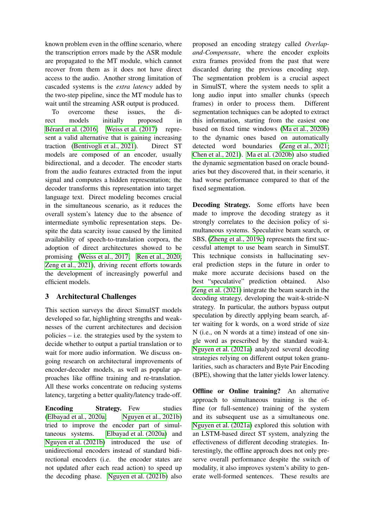known problem even in the offline scenario, where the transcription errors made by the ASR module are propagated to the MT module, which cannot recover from them as it does not have direct access to the audio. Another strong limitation of cascaded systems is the *extra latency* added by the two-step pipeline, since the MT module has to wait until the streaming ASR output is produced.

To overcome these issues, the direct models initially proposed in Bérard et al. (2016; [Weiss et al. \(2017\)](#page-7-5) represent a valid alternative that is gaining increasing traction [\(Bentivogli et al., 2021\)](#page-5-3). Direct ST models are composed of an encoder, usually bidirectional, and a decoder. The encoder starts from the audio features extracted from the input signal and computes a hidden representation; the decoder transforms this representation into target language text. Direct modeling becomes crucial in the simultaneous scenario, as it reduces the overall system's latency due to the absence of intermediate symbolic representation steps. Despite the data scarcity issue caused by the limited availability of speech-to-translation corpora, the adoption of direct architectures showed to be promising [\(Weiss et al., 2017;](#page-7-5) [Ren et al., 2020;](#page-7-6) [Zeng et al., 2021\)](#page-7-7), driving recent efforts towards the development of increasingly powerful and efficient models.

# 3 Architectural Challenges

This section surveys the direct SimulST models developed so far, highlighting strengths and weaknesses of the current architectures and decision policies  $-$  i.e. the strategies used by the system to decide whether to output a partial translation or to wait for more audio information. We discuss ongoing research on architectural improvements of encoder-decoder models, as well as popular approaches like offline training and re-translation. All these works concentrate on reducing systems latency, targeting a better quality/latency trade-off.

**Encoding Strategy.** Few studies [\(Elbayad et al., 2020a;](#page-6-6) [Nguyen et al., 2021b\)](#page-6-7) tried to improve the encoder part of simultaneous systems. [Elbayad et al. \(2020a\)](#page-6-6) and [Nguyen et al. \(2021b\)](#page-6-7) introduced the use of unidirectional encoders instead of standard bidirectional encoders (i.e. the encoder states are not updated after each read action) to speed up the decoding phase. [Nguyen et al. \(2021b\)](#page-6-7) also

proposed an encoding strategy called *Overlapand-Compensate*, where the encoder exploits extra frames provided from the past that were discarded during the previous encoding step. The segmentation problem is a crucial aspect in SimulST, where the system needs to split a long audio input into smaller chunks (speech frames) in order to process them. Different segmentation techniques can be adopted to extract this information, starting from the easiest one based on fixed time windows [\(Ma et al., 2020b\)](#page-6-8) to the dynamic ones based on automatically detected word boundaries [\(Zeng et al., 2021;](#page-7-7) [Chen et al., 2021\)](#page-5-4). [Ma et al. \(2020b\)](#page-6-8) also studied the dynamic segmentation based on oracle boundaries but they discovered that, in their scenario, it had worse performance compared to that of the fixed segmentation.

Decoding Strategy. Some efforts have been made to improve the decoding strategy as it strongly correlates to the decision policy of simultaneous systems. Speculative beam search, or SBS, [\(Zheng et al., 2019c\)](#page-7-8) represents the first successful attempt to use beam search in SimulST. This technique consists in hallucinating several prediction steps in the future in order to make more accurate decisions based on the best "speculative" prediction obtained. Also [Zeng et al. \(2021\)](#page-7-7) integrate the beam search in the decoding strategy, developing the wait-k-stride-N strategy. In particular, the authors bypass output speculation by directly applying beam search, after waiting for k words, on a word stride of size N (i.e., on N words at a time) instead of one single word as prescribed by the standard wait-k. [Nguyen et al. \(2021a\)](#page-6-9) analyzed several decoding strategies relying on different output token granularities, such as characters and Byte Pair Encoding (BPE), showing that the latter yields lower latency.

Offline or Online training? An alternative approach to simultaneous training is the offline (or full-sentence) training of the system and its subsequent use as a simultaneous one. [Nguyen et al. \(2021a\)](#page-6-9) explored this solution with an LSTM-based direct ST system, analyzing the effectiveness of different decoding strategies. Interestingly, the offline approach does not only preserve overall performance despite the switch of modality, it also improves system's ability to generate well-formed sentences. These results are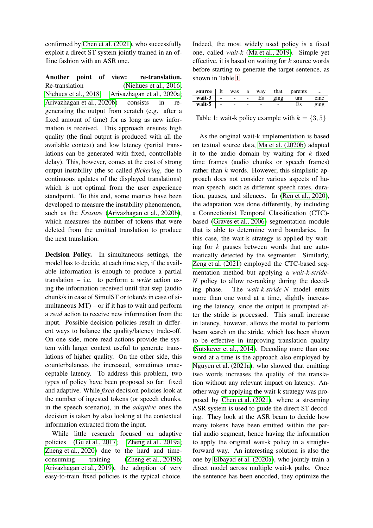confirmed by [Chen et al. \(2021\)](#page-5-4), who successfully exploit a direct ST system jointly trained in an offline fashion with an ASR one.

Another point of view: re-translation. Re-translation [\(Niehues et al., 2016;](#page-7-9) [Niehues et al., 2018;](#page-7-2) [Arivazhagan et al., 2020a;](#page-5-5) [Arivazhagan et al., 2020b\)](#page-5-0) consists in regenerating the output from scratch (e.g. after a fixed amount of time) for as long as new information is received. This approach ensures high quality (the final output is produced with all the available context) and low latency (partial translations can be generated with fixed, controllable delay). This, however, comes at the cost of strong output instability (the so-called *flickering*, due to continuous updates of the displayed translations) which is not optimal from the user experience standpoint. To this end, some metrics have been developed to measure the instability phenomenon, such as the *Erasure* [\(Arivazhagan et al., 2020b\)](#page-5-0), which measures the number of tokens that were deleted from the emitted translation to produce the next translation.

Decision Policy. In simultaneous settings, the model has to decide, at each time step, if the available information is enough to produce a partial translation – i.e. to perform a *write* action using the information received until that step (audio chunk/s in case of SimulST or token/s in case of simultaneous  $MT$ ) – or if it has to wait and perform a *read* action to receive new information from the input. Possible decision policies result in different ways to balance the quality/latency trade-off. On one side, more read actions provide the system with larger context useful to generate translations of higher quality. On the other side, this counterbalances the increased, sometimes unacceptable latency. To address this problem, two types of policy have been proposed so far: fixed and adaptive. While *fixed* decision policies look at the number of ingested tokens (or speech chunks, in the speech scenario), in the *adaptive* ones the decision is taken by also looking at the contextual information extracted from the input.

While little research focused on adaptive policies [\(Gu et al., 2017;](#page-6-3) [Zheng et al., 2019a;](#page-7-10) [Zheng et al., 2020\)](#page-8-0) due to the hard and time-consuming training [\(Zheng et al., 2019b;](#page-7-11) [Arivazhagan et al., 2019\)](#page-5-1), the adoption of very easy-to-train fixed policies is the typical choice. Indeed, the most widely used policy is a fixed one, called *wait-k* [\(Ma et al., 2019\)](#page-6-5). Simple yet effective, it is based on waiting for  $k$  source words before starting to generate the target sentence, as shown in Table [1.](#page-2-0)

|                       |  |     |      | <b>source</b> It was a way that parents | $\cdots$                                         |
|-----------------------|--|-----|------|-----------------------------------------|--------------------------------------------------|
| wait-3 $\overline{1}$ |  | Es. | ging | um                                      | eine                                             |
| wait-5 $\vert$ -      |  |     |      | Es                                      | $_{\sigma}$ <sub>111<math>_{\sigma}</math></sub> |

<span id="page-2-0"></span>Table 1: wait-k policy example with  $k = \{3, 5\}$ 

As the original wait-k implementation is based on textual source data, [Ma et al. \(2020b\)](#page-6-8) adapted it to the audio domain by waiting for  $k$  fixed time frames (audio chunks or speech frames) rather than  $k$  words. However, this simplistic approach does not consider various aspects of human speech, such as different speech rates, duration, pauses, and silences. In [\(Ren et al., 2020\)](#page-7-6), the adaptation was done differently, by including a Connectionist Temporal Classification (CTC) based (Graves et al., 2006) segmentation module that is able to determine word boundaries. In this case, the wait-k strategy is applied by waiting for  $k$  pauses between words that are automatically detected by the segmenter. Similarly, [Zeng et al. \(2021\)](#page-7-7) employed the CTC-based segmentation method but applying a *wait-k-stride-N* policy to allow re-ranking during the decoding phase. The *wait-k-stride-N* model emits more than one word at a time, slightly increasing the latency, since the output is prompted after the stride is processed. This small increase in latency, however, allows the model to perform beam search on the stride, which has been shown to be effective in improving translation quality [\(Sutskever et al., 2014\)](#page-7-12). Decoding more than one word at a time is the approach also employed by [Nguyen et al. \(2021a\)](#page-6-9), who showed that emitting two words increases the quality of the translation without any relevant impact on latency. Another way of applying the wait-k strategy was proposed by [Chen et al. \(2021\)](#page-5-4), where a streaming ASR system is used to guide the direct ST decoding. They look at the ASR beam to decide how many tokens have been emitted within the partial audio segment, hence having the information to apply the original wait-k policy in a straightforward way. An interesting solution is also the one by [Elbayad et al. \(2020a\)](#page-6-6), who jointly train a direct model across multiple wait-k paths. Once the sentence has been encoded, they optimize the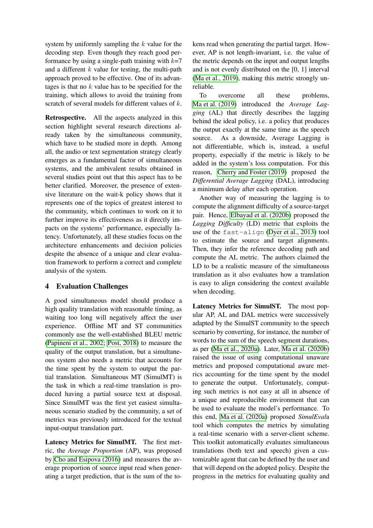system by uniformly sampling the  $k$  value for the decoding step. Even though they reach good performance by using a single-path training with  $k=7$ and a different  $k$  value for testing, the multi-path approach proved to be effective. One of its advantages is that no  $k$  value has to be specified for the training, which allows to avoid the training from scratch of several models for different values of k.

Retrospective. All the aspects analyzed in this section highlight several research directions already taken by the simultaneous community, which have to be studied more in depth. Among all, the audio or text segmentation strategy clearly emerges as a fundamental factor of simultaneous systems, and the ambivalent results obtained in several studies point out that this aspect has to be better clarified. Moreover, the presence of extensive literature on the wait-k policy shows that it represents one of the topics of greatest interest to the community, which continues to work on it to further improve its effectiveness as it directly impacts on the systems' performance, especially latency. Unfortunately, all these studies focus on the architecture enhancements and decision policies despite the absence of a unique and clear evaluation framework to perform a correct and complete analysis of the system.

### 4 Evaluation Challenges

A good simultaneous model should produce a high quality translation with reasonable timing, as waiting too long will negatively affect the user experience. Offline MT and ST communities commonly use the well-established BLEU metric [\(Papineni et al., 2002;](#page-7-13) [Post, 2018\)](#page-7-14) to measure the quality of the output translation, but a simultaneous system also needs a metric that accounts for the time spent by the system to output the partial translation. Simultaneous MT (SimulMT) is the task in which a real-time translation is produced having a partial source text at disposal. Since SimulMT was the first yet easiest simultaneous scenario studied by the community, a set of metrics was previously introduced for the textual input-output translation part.

Latency Metrics for SimulMT. The first metric, the *Average Proportion* (AP), was proposed by [Cho and Esipova \(2016\)](#page-5-6) and measures the average proportion of source input read when generating a target prediction, that is the sum of the tokens read when generating the partial target. However, AP is not length-invariant, i.e. the value of the metric depends on the input and output lengths and is not evenly distributed on the [0, 1] interval [\(Ma et al., 2019\)](#page-6-5), making this metric strongly unreliable.

To overcome all these problems, [Ma et al. \(2019\)](#page-6-5) introduced the *Average Lagging* (AL) that directly describes the lagging behind the ideal policy, i.e. a policy that produces the output exactly at the same time as the speech source. As a downside, Average Lagging is not differentiable, which is, instead, a useful property, especially if the metric is likely to be added in the system's loss computation. For this reason, [Cherry and Foster \(2019\)](#page-5-7) proposed the *Differential Average Lagging* (DAL), introducing a minimum delay after each operation.

Another way of measuring the lagging is to compute the alignment difficulty of a source-target pair. Hence, [Elbayad et al. \(2020b\)](#page-6-10) proposed the *Lagging Difficulty* (LD) metric that exploits the use of the fast-align [\(Dyer et al., 2013\)](#page-6-11) tool to estimate the source and target alignments. Then, they infer the reference decoding path and compute the AL metric. The authors claimed the LD to be a realistic measure of the simultaneous translation as it also evaluates how a translation is easy to align considering the context available when decoding.

Latency Metrics for SimulST. The most popular AP, AL and DAL metrics were successively adapted by the SimulST community to the speech scenario by converting, for instance, the number of words to the sum of the speech segment durations, as per [\(Ma et al., 2020a\)](#page-6-12). Later, [Ma et al. \(2020b\)](#page-6-8) raised the issue of using computational unaware metrics and proposed computational aware metrics accounting for the time spent by the model to generate the output. Unfortunately, computing such metrics is not easy at all in absence of a unique and reproducible environment that can be used to evaluate the model's performance. To this end, [Ma et al. \(2020a\)](#page-6-12) proposed *SimulEval*a tool which computes the metrics by simulating a real-time scenario with a server-client scheme. This toolkit automatically evaluates simultaneous translations (both text and speech) given a customizable agent that can be defined by the user and that will depend on the adopted policy. Despite the progress in the metrics for evaluating quality and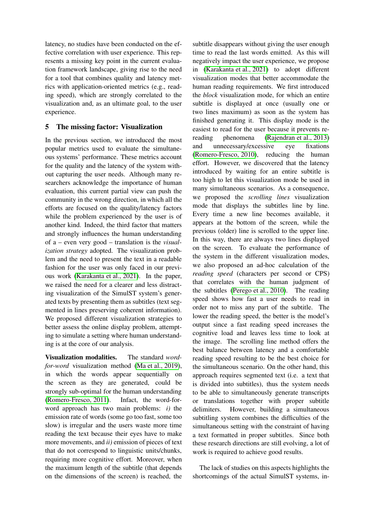latency, no studies have been conducted on the effective correlation with user experience. This represents a missing key point in the current evaluation framework landscape, giving rise to the need for a tool that combines quality and latency metrics with application-oriented metrics (e.g., reading speed), which are strongly correlated to the visualization and, as an ultimate goal, to the user experience.

### 5 The missing factor: Visualization

In the previous section, we introduced the most popular metrics used to evaluate the simultaneous systems' performance. These metrics account for the quality and the latency of the system without capturing the user needs. Although many researchers acknowledge the importance of human evaluation, this current partial view can push the community in the wrong direction, in which all the efforts are focused on the quality/latency factors while the problem experienced by the user is of another kind. Indeed, the third factor that matters and strongly influences the human understanding of a – even very good – translation is the *visualization strategy* adopted. The visualization problem and the need to present the text in a readable fashion for the user was only faced in our previous work [\(Karakanta et al., 2021\)](#page-6-13). In the paper, we raised the need for a clearer and less distracting visualization of the SimulST system's generated texts by presenting them as subtitles (text segmented in lines preserving coherent information). We proposed different visualization strategies to better assess the online display problem, attempting to simulate a setting where human understanding is at the core of our analysis.

Visualization modalities. The standard *wordfor-word* visualization method [\(Ma et al., 2019\)](#page-6-5), in which the words appear sequentially on the screen as they are generated, could be strongly sub-optimal for the human understanding [\(Romero-Fresco, 2011\)](#page-7-15). Infact, the word-forword approach has two main problems: *i)* the emission rate of words (some go too fast, some too slow) is irregular and the users waste more time reading the text because their eyes have to make more movements, and *ii)* emission of pieces of text that do not correspond to linguistic units/chunks, requiring more cognitive effort. Moreover, when the maximum length of the subtitle (that depends on the dimensions of the screen) is reached, the

subtitle disappears without giving the user enough time to read the last words emitted. As this will negatively impact the user experience, we propose in [\(Karakanta et al., 2021\)](#page-6-13) to adopt different visualization modes that better accommodate the human reading requirements. We first introduced the *block* visualization mode, for which an entire subtitle is displayed at once (usually one or two lines maximum) as soon as the system has finished generating it. This display mode is the easiest to read for the user because it prevents rereading phenomena [\(Rajendran et al., 2013\)](#page-7-16) and unnecessary/excessive eye fixations [\(Romero-Fresco, 2010\)](#page-7-17), reducing the human effort. However, we discovered that the latency introduced by waiting for an entire subtitle is too high to let this visualization mode be used in many simultaneous scenarios. As a consequence, we proposed the *scrolling lines* visualization mode that displays the subtitles line by line. Every time a new line becomes available, it appears at the bottom of the screen, while the previous (older) line is scrolled to the upper line. In this way, there are always two lines displayed on the screen. To evaluate the performance of the system in the different visualization modes, we also proposed an ad-hoc calculation of the *reading speed* (characters per second or CPS) that correlates with the human judgment of the subtitles [\(Perego et al., 2010\)](#page-7-18). The reading speed shows how fast a user needs to read in order not to miss any part of the subtitle. The lower the reading speed, the better is the model's output since a fast reading speed increases the cognitive load and leaves less time to look at the image. The scrolling line method offers the best balance between latency and a comfortable reading speed resulting to be the best choice for the simultaneous scenario. On the other hand, this approach requires segmented text (i.e. a text that is divided into subtitles), thus the system needs to be able to simultaneously generate transcripts or translations together with proper subtitle delimiters. However, building a simultaneous subtitling system combines the difficulties of the simultaneous setting with the constraint of having a text formatted in proper subtitles. Since both these research directions are still evolving, a lot of work is required to achieve good results.

The lack of studies on this aspects highlights the shortcomings of the actual SimulST systems, in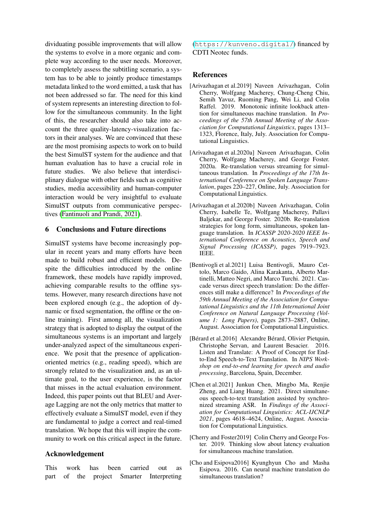dividuating possible improvements that will allow the systems to evolve in a more organic and complete way according to the user needs. Moreover, to completely assess the subtitling scenario, a system has to be able to jointly produce timestamps metadata linked to the word emitted, a task that has not been addressed so far. The need for this kind of system represents an interesting direction to follow for the simultaneous community. In the light of this, the researcher should also take into account the three quality-latency-visualization factors in their analyses. We are convinced that these are the most promising aspects to work on to build the best SimulST system for the audience and that human evaluation has to have a crucial role in future studies. We also believe that interdisciplinary dialogue with other fields such as cognitive studies, media accessibility and human-computer interaction would be very insightful to evaluate SimulST outputs from communicative perspectives [\(Fantinuoli and Prandi, 2021\)](#page-6-14).

### 6 Conclusions and Future directions

SimulST systems have become increasingly popular in recent years and many efforts have been made to build robust and efficient models. Despite the difficulties introduced by the online framework, these models have rapidly improved, achieving comparable results to the offline systems. However, many research directions have not been explored enough (e.g., the adoption of dynamic or fixed segmentation, the offline or the online training). First among all, the visualization strategy that is adopted to display the output of the simultaneous systems is an important and largely under-analyzed aspect of the simultaneous experience. We posit that the presence of applicationoriented metrics (e.g., reading speed), which are strongly related to the visualization and, as an ultimate goal, to the user experience, is the factor that misses in the actual evaluation environment. Indeed, this paper points out that BLEU and Average Lagging are not the only metrics that matter to effectively evaluate a SimulST model, even if they are fundamental to judge a correct and real-timed translation. We hope that this will inspire the community to work on this critical aspect in the future.

### Acknowledgement

This work has been carried out as part of the project Smarter Interpreting

(<https://kunveno.digital/>) financed by CDTI Neotec funds.

#### References

- <span id="page-5-1"></span>[Arivazhagan et al.2019] Naveen Arivazhagan, Colin Cherry, Wolfgang Macherey, Chung-Cheng Chiu, Semih Yavuz, Ruoming Pang, Wei Li, and Colin Raffel. 2019. Monotonic infinite lookback attention for simultaneous machine translation. In *Proceedings of the 57th Annual Meeting of the Association for Computational Linguistics*, pages 1313– 1323, Florence, Italy, July. Association for Computational Linguistics.
- <span id="page-5-5"></span>[Arivazhagan et al.2020a] Naveen Arivazhagan, Colin Cherry, Wolfgang Macherey, and George Foster. 2020a. Re-translation versus streaming for simultaneous translation. In *Proceedings of the 17th International Conference on Spoken Language Translation*, pages 220–227, Online, July. Association for Computational Linguistics.
- <span id="page-5-0"></span>[Arivazhagan et al.2020b] Naveen Arivazhagan, Colin Cherry, Isabelle Te, Wolfgang Macherey, Pallavi Baljekar, and George Foster. 2020b. Re-translation strategies for long form, simultaneous, spoken language translation. In *ICASSP 2020-2020 IEEE International Conference on Acoustics, Speech and Signal Processing (ICASSP)*, pages 7919–7923. IEEE.
- <span id="page-5-3"></span>[Bentivogli et al.2021] Luisa Bentivogli, Mauro Cettolo, Marco Gaido, Alina Karakanta, Alberto Martinelli, Matteo Negri, and Marco Turchi. 2021. Cascade versus direct speech translation: Do the differences still make a difference? In *Proceedings of the 59th Annual Meeting of the Association for Computational Linguistics and the 11th International Joint Conference on Natural Language Processing (Volume 1: Long Papers)*, pages 2873–2887, Online, August. Association for Computational Linguistics.
- <span id="page-5-2"></span>[Bérard et al.2016] Alexandre Bérard, Olivier Pietquin, Christophe Servan, and Laurent Besacier. 2016. Listen and Translate: A Proof of Concept for Endto-End Speech-to-Text Translation. In *NIPS Workshop on end-to-end learning for speech and audio processing*, Barcelona, Spain, December.
- <span id="page-5-4"></span>[Chen et al.2021] Junkun Chen, Mingbo Ma, Renjie Zheng, and Liang Huang. 2021. Direct simultaneous speech-to-text translation assisted by synchronized streaming ASR. In *Findings of the Association for Computational Linguistics: ACL-IJCNLP 2021*, pages 4618–4624, Online, August. Association for Computational Linguistics.
- <span id="page-5-7"></span>[Cherry and Foster2019] Colin Cherry and George Foster. 2019. Thinking slow about latency evaluation for simultaneous machine translation.
- <span id="page-5-6"></span>[Cho and Esipova2016] Kyunghyun Cho and Masha Esipova. 2016. Can neural machine translation do simultaneous translation?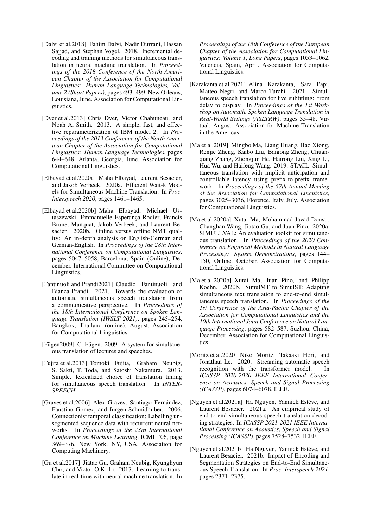- <span id="page-6-4"></span>[Dalvi et al.2018] Fahim Dalvi, Nadir Durrani, Hassan Sajjad, and Stephan Vogel. 2018. Incremental decoding and training methods for simultaneous translation in neural machine translation. In *Proceedings of the 2018 Conference of the North American Chapter of the Association for Computational Linguistics: Human Language Technologies, Volume 2 (Short Papers)*, pages 493–499, New Orleans, Louisiana, June. Association for Computational Linguistics.
- <span id="page-6-11"></span>[Dyer et al.2013] Chris Dyer, Victor Chahuneau, and Noah A. Smith. 2013. A simple, fast, and effective reparameterization of IBM model 2. In *Proceedings of the 2013 Conference of the North American Chapter of the Association for Computational Linguistics: Human Language Technologies*, pages 644–648, Atlanta, Georgia, June. Association for Computational Linguistics.
- <span id="page-6-6"></span>[Elbayad et al.2020a] Maha Elbayad, Laurent Besacier, and Jakob Verbeek. 2020a. Efficient Wait-k Models for Simultaneous Machine Translation. In *Proc. Interspeech 2020*, pages 1461–1465.
- <span id="page-6-10"></span>[Elbayad et al.2020b] Maha Elbayad, Michael Ustaszewski, Emmanuelle Esperança-Rodier, Francis Brunet-Manquat, Jakob Verbeek, and Laurent Besacier. 2020b. Online versus offline NMT quality: An in-depth analysis on English-German and German-English. In *Proceedings of the 28th International Conference on Computational Linguistics*, pages 5047–5058, Barcelona, Spain (Online), December. International Committee on Computational Linguistics.
- <span id="page-6-14"></span>[Fantinuoli and Prandi2021] Claudio Fantinuoli and Bianca Prandi. 2021. Towards the evaluation of automatic simultaneous speech translation from a communicative perspective. In *Proceedings of the 18th International Conference on Spoken Language Translation (IWSLT 2021)*, pages 245–254, Bangkok, Thailand (online), August. Association for Computational Linguistics.
- <span id="page-6-0"></span>[Fügen2009] C. Fügen. 2009. A system for simultaneous translation of lectures and speeches.
- <span id="page-6-1"></span>[Fujita et al.2013] Tomoki Fujita, Graham Neubig, S. Sakti, T. Toda, and Satoshi Nakamura. 2013. Simple, lexicalized choice of translation timing for simultaneous speech translation. In *INTER-SPEECH*.
- [Graves et al.2006] Alex Graves, Santiago Fernández, Faustino Gomez, and Jürgen Schmidhuber. 2006. Connectionist temporal classification: Labelling unsegmented sequence data with recurrent neural networks. In *Proceedings of the 23rd International Conference on Machine Learning*, ICML '06, page 369–376, New York, NY, USA. Association for Computing Machinery.
- <span id="page-6-3"></span>[Gu et al.2017] Jiatao Gu, Graham Neubig, Kyunghyun Cho, and Victor O.K. Li. 2017. Learning to translate in real-time with neural machine translation. In

*Proceedings of the 15th Conference of the European Chapter of the Association for Computational Linguistics: Volume 1, Long Papers*, pages 1053–1062, Valencia, Spain, April. Association for Computational Linguistics.

- <span id="page-6-13"></span>[Karakanta et al.2021] Alina Karakanta, Sara Papi, Matteo Negri, and Marco Turchi. 2021. Simultaneous speech translation for live subtitling: from delay to display. In *Proceedings of the 1st Workshop on Automatic Spoken Language Translation in Real-World Settings (ASLTRW)*, pages 35–48, Virtual, August. Association for Machine Translation in the Americas.
- <span id="page-6-5"></span>[Ma et al.2019] Mingbo Ma, Liang Huang, Hao Xiong, Renjie Zheng, Kaibo Liu, Baigong Zheng, Chuanqiang Zhang, Zhongjun He, Hairong Liu, Xing Li, Hua Wu, and Haifeng Wang. 2019. STACL: Simultaneous translation with implicit anticipation and controllable latency using prefix-to-prefix framework. In *Proceedings of the 57th Annual Meeting of the Association for Computational Linguistics*, pages 3025–3036, Florence, Italy, July. Association for Computational Linguistics.
- <span id="page-6-12"></span>[Ma et al.2020a] Xutai Ma, Mohammad Javad Dousti, Changhan Wang, Jiatao Gu, and Juan Pino. 2020a. SIMULEVAL: An evaluation toolkit for simultaneous translation. In *Proceedings of the 2020 Conference on Empirical Methods in Natural Language Processing: System Demonstrations*, pages 144– 150, Online, October. Association for Computational Linguistics.
- <span id="page-6-8"></span>[Ma et al.2020b] Xutai Ma, Juan Pino, and Philipp Koehn. 2020b. SimulMT to SimulST: Adapting simultaneous text translation to end-to-end simultaneous speech translation. In *Proceedings of the 1st Conference of the Asia-Pacific Chapter of the Association for Computational Linguistics and the 10th International Joint Conference on Natural Language Processing*, pages 582–587, Suzhou, China, December. Association for Computational Linguistics.
- <span id="page-6-2"></span>[Moritz et al.2020] Niko Moritz, Takaaki Hori, and Jonathan Le. 2020. Streaming automatic speech recognition with the transformer model. In *ICASSP 2020-2020 IEEE International Conference on Acoustics, Speech and Signal Processing (ICASSP)*, pages 6074–6078. IEEE.
- <span id="page-6-9"></span>[Nguyen et al.2021a] Ha Nguyen, Yannick Estève, and Laurent Besacier. 2021a. An empirical study of end-to-end simultaneous speech translation decoding strategies. In *ICASSP 2021-2021 IEEE International Conference on Acoustics, Speech and Signal Processing (ICASSP)*, pages 7528–7532. IEEE.
- <span id="page-6-7"></span>[Nguyen et al.2021b] Ha Nguyen, Yannick Estève, and Laurent Besacier. 2021b. Impact of Encoding and Segmentation Strategies on End-to-End Simultaneous Speech Translation. In *Proc. Interspeech 2021*, pages 2371–2375.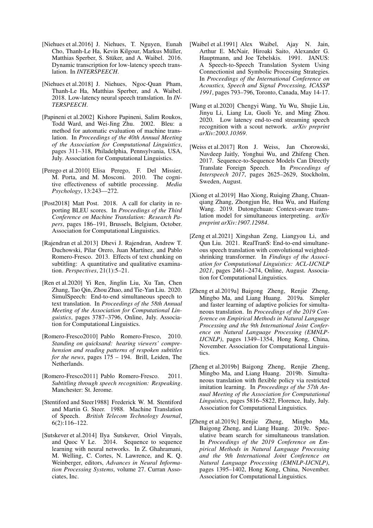- <span id="page-7-9"></span>[Niehues et al.2016] J. Niehues, T. Nguyen, Eunah Cho, Thanh-Le Ha, Kevin Kilgour, Markus Müller, Matthias Sperber, S. Stüker, and A. Waibel. 2016. Dynamic transcription for low-latency speech translation. In *INTERSPEECH*.
- <span id="page-7-2"></span>[Niehues et al.2018] J. Niehues, Ngoc-Quan Pham, Thanh-Le Ha, Matthias Sperber, and A. Waibel. 2018. Low-latency neural speech translation. In *IN-TERSPEECH*.
- <span id="page-7-13"></span>[Papineni et al.2002] Kishore Papineni, Salim Roukos, Todd Ward, and Wei-Jing Zhu. 2002. Bleu: a method for automatic evaluation of machine translation. In *Proceedings of the 40th Annual Meeting of the Association for Computational Linguistics*, pages 311–318, Philadelphia, Pennsylvania, USA, July. Association for Computational Linguistics.
- <span id="page-7-18"></span>[Perego et al.2010] Elisa Perego, F. Del Missier, M. Porta, and M. Mosconi. 2010. The cognitive effectiveness of subtitle processing. *Media Psychology*, 13:243––272.
- <span id="page-7-14"></span>[Post2018] Matt Post. 2018. A call for clarity in reporting BLEU scores. In *Proceedings of the Third Conference on Machine Translation: Research Papers*, pages 186–191, Brussels, Belgium, October. Association for Computational Linguistics.
- <span id="page-7-16"></span>[Rajendran et al.2013] Dhevi J. Rajendran, Andrew T. Duchowski, Pilar Orero, Juan Martínez, and Pablo Romero-Fresco. 2013. Effects of text chunking on subtitling: A quantitative and qualitative examination. *Perspectives*, 21(1):5–21.
- <span id="page-7-6"></span>[Ren et al.2020] Yi Ren, Jinglin Liu, Xu Tan, Chen Zhang, Tao Qin, Zhou Zhao, and Tie-Yan Liu. 2020. SimulSpeech: End-to-end simultaneous speech to text translation. In *Proceedings of the 58th Annual Meeting of the Association for Computational Linguistics*, pages 3787–3796, Online, July. Association for Computational Linguistics.
- <span id="page-7-17"></span>[Romero-Fresco2010] Pablo Romero-Fresco, 2010. *Standing on quicksand: hearing viewers' comprehension and reading patterns of respoken subtitles for the news*, pages 175 – 194. Brill, Leiden, The Netherlands.
- <span id="page-7-15"></span>[Romero-Fresco2011] Pablo Romero-Fresco. 2011. *Subtitling through speech recognition: Respeaking*. Manchester: St. Jerome.
- <span id="page-7-0"></span>[Stentiford and Steer1988] Frederick W. M. Stentiford and Martin G. Steer. 1988. Machine Translation of Speech. *British Telecom Technology Journal*, 6(2):116–122.
- <span id="page-7-12"></span>[Sutskever et al.2014] Ilya Sutskever, Oriol Vinyals, and Quoc V Le. 2014. Sequence to sequence learning with neural networks. In Z. Ghahramani, M. Welling, C. Cortes, N. Lawrence, and K. Q. Weinberger, editors, *Advances in Neural Information Processing Systems*, volume 27. Curran Associates, Inc.
- <span id="page-7-1"></span>[Waibel et al.1991] Alex Waibel, Ajay N. Jain, Arthur E. McNair, Hiroaki Saito, Alexander G. Hauptmann, and Joe Tebelskis. 1991. JANUS: A Speech-to-Speech Translation System Using Connectionist and Symbolic Processing Strategies. In *Proceedings of the International Conference on Acoustics, Speech and Signal Processing, ICASSP 1991*, pages 793–796, Toronto, Canada, May 14-17.
- <span id="page-7-4"></span>[Wang et al.2020] Chengyi Wang, Yu Wu, Shujie Liu, Jinyu Li, Liang Lu, Guoli Ye, and Ming Zhou. 2020. Low latency end-to-end streaming speech recognition with a scout network. *arXiv preprint arXiv:2003.10369*.
- <span id="page-7-5"></span>[Weiss et al.2017] Ron J. Weiss, Jan Chorowski, Navdeep Jaitly, Yonghui Wu, and Zhifeng Chen. 2017. Sequence-to-Sequence Models Can Directly Translate Foreign Speech. In *Proceedings of Interspeech 2017*, pages 2625–2629, Stockholm, Sweden, August.
- <span id="page-7-3"></span>[Xiong et al.2019] Hao Xiong, Ruiqing Zhang, Chuanqiang Zhang, Zhongjun He, Hua Wu, and Haifeng Wang. 2019. Dutongchuan: Context-aware translation model for simultaneous interpreting. *arXiv preprint arXiv:1907.12984*.
- <span id="page-7-7"></span>[Zeng et al.2021] Xingshan Zeng, Liangyou Li, and Qun Liu. 2021. RealTranS: End-to-end simultaneous speech translation with convolutional weightedshrinking transformer. In *Findings of the Association for Computational Linguistics: ACL-IJCNLP 2021*, pages 2461–2474, Online, August. Association for Computational Linguistics.
- <span id="page-7-10"></span>[Zheng et al.2019a] Baigong Zheng, Renjie Zheng, Mingbo Ma, and Liang Huang. 2019a. Simpler and faster learning of adaptive policies for simultaneous translation. In *Proceedings of the 2019 Conference on Empirical Methods in Natural Language Processing and the 9th International Joint Conference on Natural Language Processing (EMNLP-IJCNLP)*, pages 1349–1354, Hong Kong, China, November. Association for Computational Linguistics.
- <span id="page-7-11"></span>[Zheng et al.2019b] Baigong Zheng, Renjie Zheng, Mingbo Ma, and Liang Huang. 2019b. Simultaneous translation with flexible policy via restricted imitation learning. In *Proceedings of the 57th Annual Meeting of the Association for Computational Linguistics*, pages 5816–5822, Florence, Italy, July. Association for Computational Linguistics.
- <span id="page-7-8"></span>[Zheng et al.2019c] Renjie Zheng, Mingbo Ma, Baigong Zheng, and Liang Huang. 2019c. Speculative beam search for simultaneous translation. In *Proceedings of the 2019 Conference on Empirical Methods in Natural Language Processing and the 9th International Joint Conference on Natural Language Processing (EMNLP-IJCNLP)*, pages 1395–1402, Hong Kong, China, November. Association for Computational Linguistics.